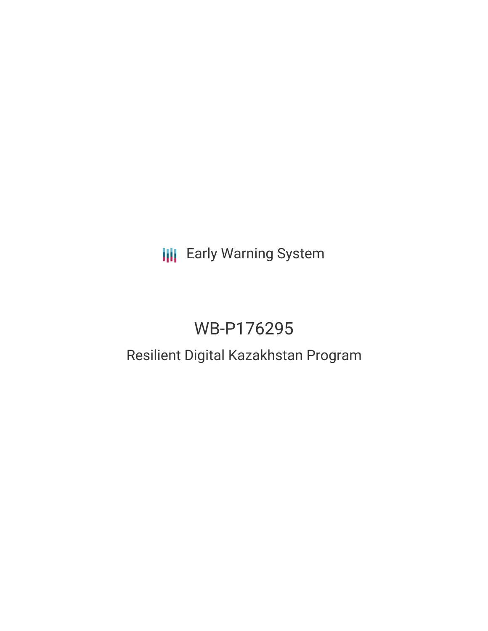# **III** Early Warning System

# WB-P176295

# Resilient Digital Kazakhstan Program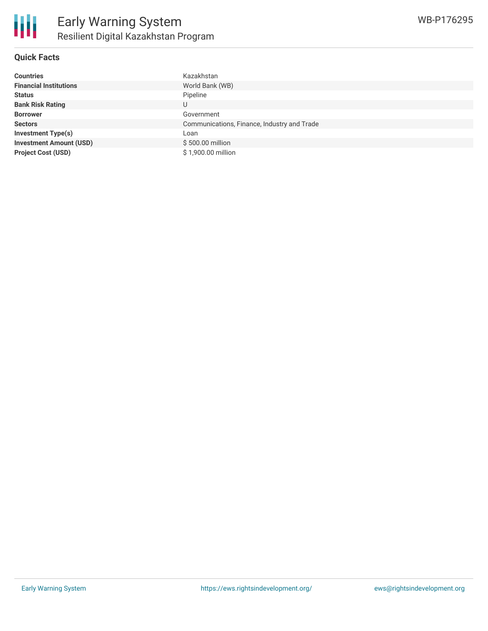

#### **Quick Facts**

| <b>Countries</b>               | Kazakhstan                                  |
|--------------------------------|---------------------------------------------|
| <b>Financial Institutions</b>  | World Bank (WB)                             |
| <b>Status</b>                  | Pipeline                                    |
| <b>Bank Risk Rating</b>        | U                                           |
| <b>Borrower</b>                | Government                                  |
| <b>Sectors</b>                 | Communications, Finance, Industry and Trade |
| <b>Investment Type(s)</b>      | Loan                                        |
| <b>Investment Amount (USD)</b> | \$500.00 million                            |
| <b>Project Cost (USD)</b>      | \$1,900.00 million                          |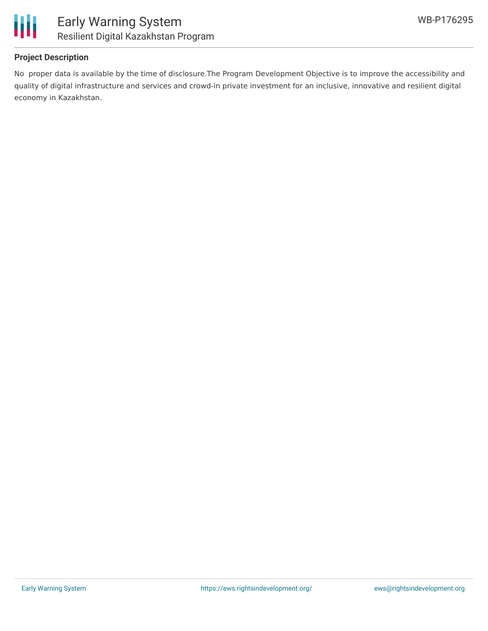



## **Project Description**

No proper data is available by the time of disclosure.The Program Development Objective is to improve the accessibility and quality of digital infrastructure and services and crowd-in private investment for an inclusive, innovative and resilient digital economy in Kazakhstan.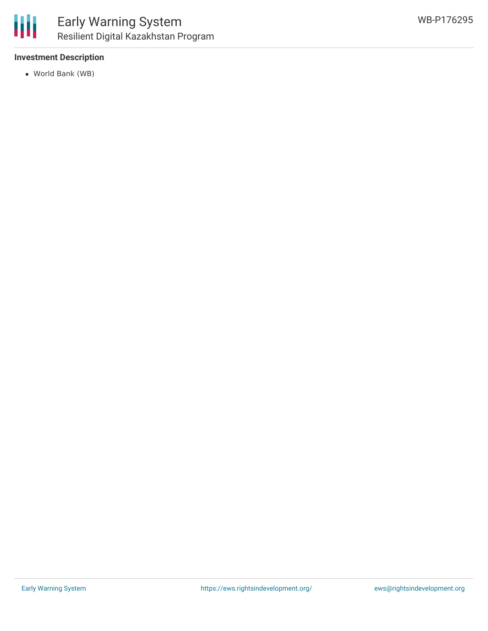

### **Investment Description**

World Bank (WB)